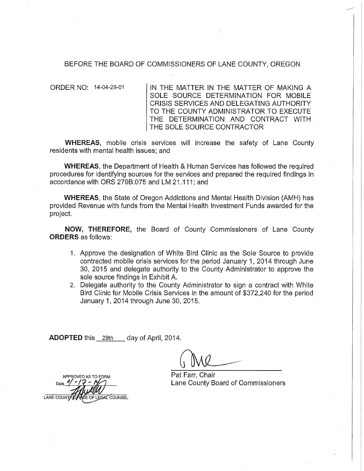## BEFORE THE BOARD OF COMMISSIONERS OF LANE COUNTY, OREGON

ORDER NO: 14-04-29-01 IN THE MATTER IN THE MATTER OF MAKING A SOLE SOURCE DETERMINATION FOR MOBILE CRISIS SERVICES AND DELEGATING AUTHORITY TO THE COUNTY ADMINISTRATOR TO EXECUTE THE DETERMINATION AND CONTRACT WITH . THE SOLE SOURCE CONTRACTOR

**WHEREAS,** mobile crisis services will increase the safety of Lane County residents with mental health issues; and

**WHEREAS,** the Department of Health & Human Services has followed the required procedures for identifying sources for the services and prepared the required findings in accordance with ORS 279B.075 and LM 21.111; and

**WHEREAS,** the State of Oregon Addictions and Mental Health Division (AMH) has provided Revenue with funds from the Mental Health Investment Funds awarded for the project.

**NOW, THEREFORE,** the Board of County Commissioners of Lane County **ORDERS** as follows:

- 1. Approve the designation of White Bird Clinic as the Sole Source to provide contracted mobile crisis services for the period January 1, 2014 through June 30, 2015 and delegate authority to the County Administrator to approve the sole source findings in Exhibit A.
- 2. Delegate authority to the County Administrator to sign a contract with White Bird Clinic for Mobile Crisis Services in the amount of \$372,240 for the period January 1, 2014 through June 30, 2015.

**ADOPTED** this 29th day of April, 2014.

Pat Farr, Chair Lane County Board of Commissioners

APPROVED AS OF LEGAL COUNSEL **LANE COUNTY**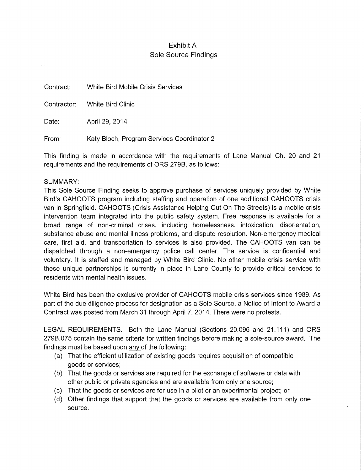## Exhibit A Sole Source Findings

Contract: White Bird Mobile Crisis Services

Contractor: White Bird Clinic

Date: April 29, 2014

From: Katy Bloch, Program Services Coordinator 2

This finding is made in accordance with the requirements of Lane Manual Ch. 20 and 21 requirements and the requirements of ORS 279B, as follows:

## SUMMARY:

This Sole Source Finding seeks to approve purchase of services uniquely provided by White Bird's CAHOOTS program including staffing and operation of one additional CAHOOTS crisis van in Springfield. CAHOOTS (Crisis Assistance Helping Out On The Streets) is a mobile crisis intervention team integrated into the public safety system. Free response is available for a broad range of non-criminal crises, including homelessness, intoxication, disorientation, substance abuse and mental illness problems, and dispute resolution. Non-emergency medical care, first aid, and transportation to services is also provided. The CAHOOTS van can be dispatched through a non-emergency police call center. The service is confidential and voluntary. It is staffed and managed by White Bird Clinic. No other mobile crisis service with these unique partnerships is currently in place in Lane County to provide critical services to residents with mental health issues.

White Bird has been the exclusive provider of CAHOOTS mobile crisis services since 1989. As part of the due diligence process for designation as a Sole Source, a Notice of Intent to Award a Contract was posted from March 31 through April 7, 2014. There were no protests.

LEGAL REQUIREMENTS. Both the Lane Manual (Sections 20.096 and 21.111) and ORS 279B.075 contain the same criteria for written findings before making a sole-source award. The findings must be based upon any of the following:

- (a) That the efficient utilization of existing goods requires acquisition of compatible goods or services;
- (b) That the goods or services are required for the exchange of software or data with other public or private agencies and are available from only one source;
- (c) That the goods or services are for use in a pilot or an experimental project; or
- (d) Other findings that support that the goods or services are available from only one source.